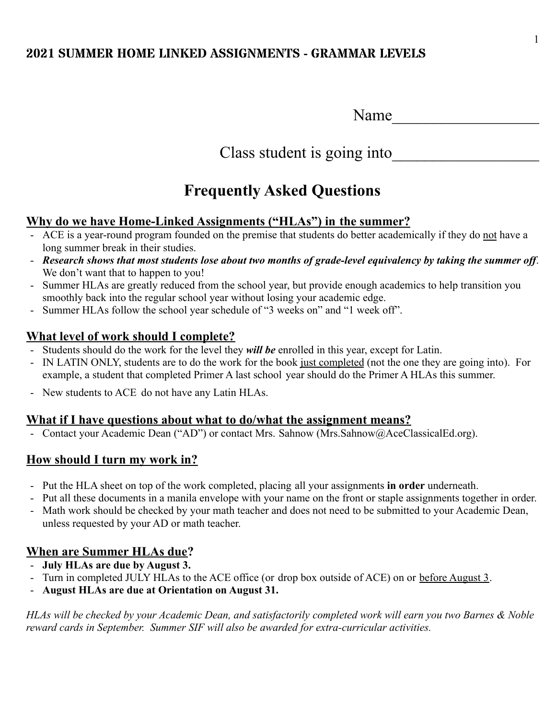Class student is going into

# **Frequently Asked Questions**

## **Why do we have Home-Linked Assignments ("HLAs") in the summer?**

- ACE is a year-round program founded on the premise that students do better academically if they do not have a long summer break in their studies.
- *Research shows that most students lose about two months of grade-level equivalency by taking the summer off*. We don't want that to happen to you!
- Summer HLAs are greatly reduced from the school year, but provide enough academics to help transition you smoothly back into the regular school year without losing your academic edge.
- Summer HLAs follow the school year schedule of "3 weeks on" and "1 week off".

## **What level of work should I complete?**

- Students should do the work for the level they *will be* enrolled in this year, except for Latin.
- IN LATIN ONLY, students are to do the work for the book just completed (not the one they are going into). For example, a student that completed Primer A last school year should do the Primer A HLAs this summer.
- New students to ACE do not have any Latin HLAs.

### **What if I have questions about what to do/what the assignment means?**

- Contact your Academic Dean ("AD") or contact Mrs. Sahnow (Mrs. Sahnow @AceClassicalEd.org).

## **How should I turn my work in?**

- Put the HLA sheet on top of the work completed, placing all your assignments **in order** underneath.
- Put all these documents in a manila envelope with your name on the front or staple assignments together in order.
- Math work should be checked by your math teacher and does not need to be submitted to your Academic Dean, unless requested by your AD or math teacher.

## **When are Summer HLAs due?**

- **July HLAs are due by August 3.**
- Turn in completed JULY HLAs to the ACE office (or drop box outside of ACE) on or <u>before August 3</u>.
- **August HLAs are due at Orientation on August 31.**

*HLAs will be checked by your Academic Dean, and satisfactorily completed work will earn you two Barnes & Noble reward cards in September. Summer SIF will also be awarded for extra-curricular activities.*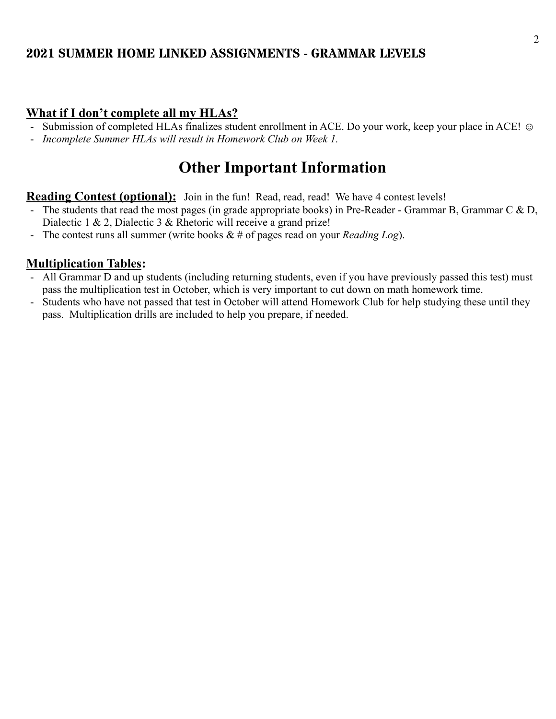#### **What if I don't complete all my HLAs?**

- Submission of completed HLAs finalizes student enrollment in ACE. Do your work, keep your place in ACE!  $\odot$
- *Incomplete Summer HLAs will result in Homework Club on Week 1.*

# **Other Important Information**

#### **Reading Contest (optional):** Join in the fun! Read, read, read! We have 4 contest levels!

- The students that read the most pages (in grade appropriate books) in Pre-Reader Grammar B, Grammar C & D, Dialectic 1 & 2, Dialectic 3 & Rhetoric will receive a grand prize!
- The contest runs all summer (write books & # of pages read on your *Reading Log*).

### **Multiplication Tables:**

- All Grammar D and up students (including returning students, even if you have previously passed this test) must pass the multiplication test in October, which is very important to cut down on math homework time.
- Students who have not passed that test in October will attend Homework Club for help studying these until they pass. Multiplication drills are included to help you prepare, if needed.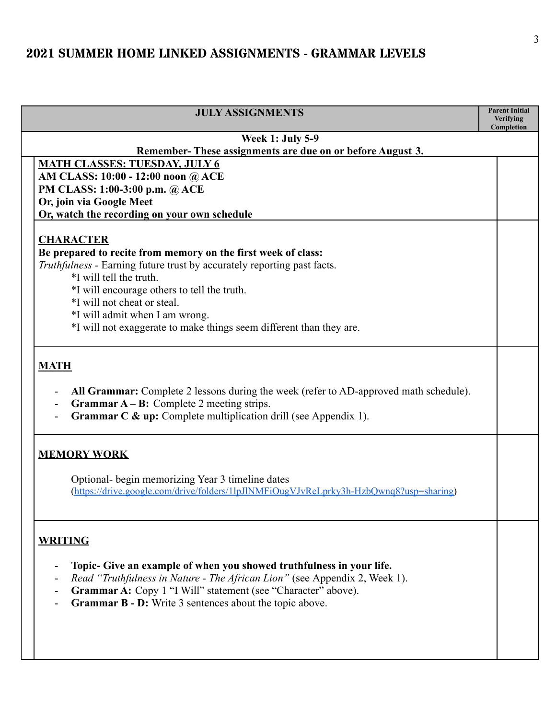| <b>JULY ASSIGNMENTS</b>                                                                                                                                                                                                                                                                          | <b>Parent Initial</b><br><b>Verifying</b> |
|--------------------------------------------------------------------------------------------------------------------------------------------------------------------------------------------------------------------------------------------------------------------------------------------------|-------------------------------------------|
|                                                                                                                                                                                                                                                                                                  | Completion                                |
| <b>Week 1: July 5-9</b><br>Remember-These assignments are due on or before August 3.                                                                                                                                                                                                             |                                           |
| <b>MATH CLASSES: TUESDAY, JULY 6</b>                                                                                                                                                                                                                                                             |                                           |
| AM CLASS: 10:00 - 12:00 noon @ ACE                                                                                                                                                                                                                                                               |                                           |
| PM CLASS: 1:00-3:00 p.m. @ ACE                                                                                                                                                                                                                                                                   |                                           |
| Or, join via Google Meet                                                                                                                                                                                                                                                                         |                                           |
| Or, watch the recording on your own schedule                                                                                                                                                                                                                                                     |                                           |
| <b>CHARACTER</b>                                                                                                                                                                                                                                                                                 |                                           |
| Be prepared to recite from memory on the first week of class:                                                                                                                                                                                                                                    |                                           |
| Truthfulness - Earning future trust by accurately reporting past facts.                                                                                                                                                                                                                          |                                           |
| *I will tell the truth.                                                                                                                                                                                                                                                                          |                                           |
| *I will encourage others to tell the truth.                                                                                                                                                                                                                                                      |                                           |
| *I will not cheat or steal.                                                                                                                                                                                                                                                                      |                                           |
| *I will admit when I am wrong.                                                                                                                                                                                                                                                                   |                                           |
| *I will not exaggerate to make things seem different than they are.                                                                                                                                                                                                                              |                                           |
| <b>Grammar <math>A - B</math>:</b> Complete 2 meeting strips.<br><b>Grammar C &amp; up:</b> Complete multiplication drill (see Appendix 1).<br><b>MEMORY WORK</b>                                                                                                                                |                                           |
| Optional- begin memorizing Year 3 timeline dates<br>(https://drive.google.com/drive/folders/1lpJlNMFiOugVJvReLprky3h-HzbQwnq8?usp=sharing)                                                                                                                                                       |                                           |
| <b>WRITING</b><br>Topic- Give an example of when you showed truthfulness in your life.<br>Read "Truthfulness in Nature - The African Lion" (see Appendix 2, Week 1).<br>Grammar A: Copy 1 "I Will" statement (see "Character" above).<br>Grammar B - D: Write 3 sentences about the topic above. |                                           |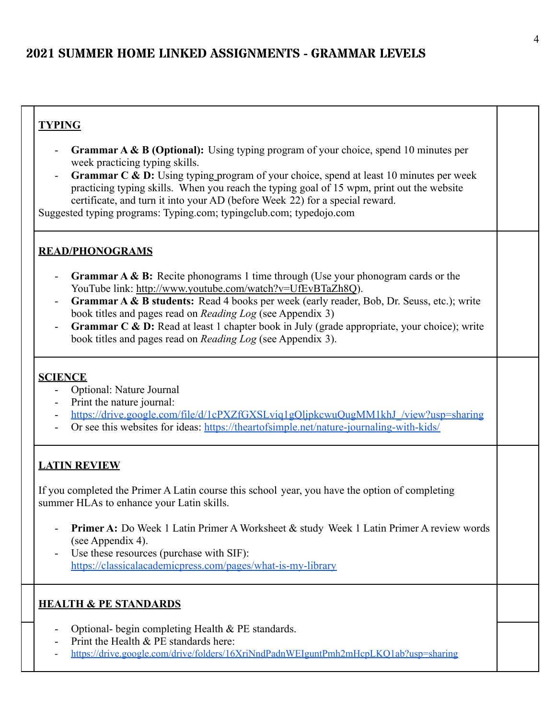### **TYPING**

- **Grammar A & B (Optional):** Using typing program of your choice, spend 10 minutes per week practicing typing skills.
- **Grammar C & D:** Using typing program of your choice, spend at least 10 minutes per week practicing typing skills. When you reach the typing goal of 15 wpm, print out the website certificate, and turn it into your AD (before Week 22) for a special reward.

Suggested typing programs: Typing.com; typingclub.com; typedojo.com

#### **READ/PHONOGRAMS**

- **Grammar A & B:** Recite phonograms 1 time through (Use your phonogram cards or the YouTube link: <http://www.youtube.com/watch?v=UfEvBTaZh8Q>).
- **Grammar A & B students:** Read 4 books per week (early reader, Bob, Dr. Seuss, etc.); write book titles and pages read on *Reading Log* (see Appendix 3)
- **Grammar C & D:** Read at least 1 chapter book in July (grade appropriate, your choice); write book titles and pages read on *Reading Log* (see Appendix 3).

#### **SCIENCE**

- Optional: Nature Journal
- Print the nature journal:
- https://drive.google.com/file/d/1cPXZfGXSLviq1gOljpkcwuOugMM1khJ\_/view?usp=sharing
- Or see this websites for ideas: <https://theartofsimple.net/nature-journaling-with-kids/>

#### **LATIN REVIEW**

If you completed the Primer A Latin course this school year, you have the option of completing summer HLAs to enhance your Latin skills.

- **Primer A:** Do Week 1 Latin Primer A Worksheet & study Week 1 Latin Primer A review words (see Appendix 4).
- Use these resources (purchase with SIF): <https://classicalacademicpress.com/pages/what-is-my-library>

- Optional- begin completing Health & PE standards.
- Print the Health & PE standards here:
- <https://drive.google.com/drive/folders/16XriNndPadnWEIguntPmh2mHcpLKQ1ab?usp=sharing>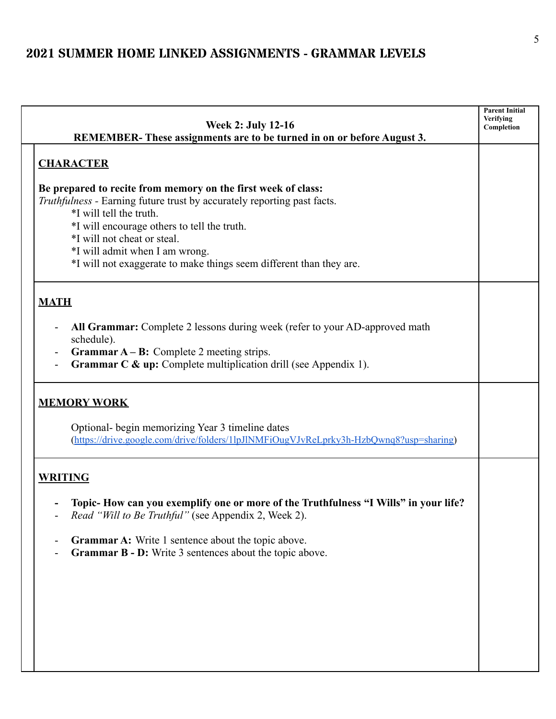| <b>Week 2: July 12-16</b><br>REMEMBER-These assignments are to be turned in on or before August 3.                                                                                                                                                                                                                                                                | <b>Parent Initial</b><br>Verifying<br>Completion |
|-------------------------------------------------------------------------------------------------------------------------------------------------------------------------------------------------------------------------------------------------------------------------------------------------------------------------------------------------------------------|--------------------------------------------------|
| <b>CHARACTER</b>                                                                                                                                                                                                                                                                                                                                                  |                                                  |
| Be prepared to recite from memory on the first week of class:<br><i>Truthfulness</i> - Earning future trust by accurately reporting past facts.<br>*I will tell the truth.<br>*I will encourage others to tell the truth.<br>*I will not cheat or steal.<br>*I will admit when I am wrong.<br>*I will not exaggerate to make things seem different than they are. |                                                  |
| <b>MATH</b>                                                                                                                                                                                                                                                                                                                                                       |                                                  |
| All Grammar: Complete 2 lessons during week (refer to your AD-approved math<br>schedule).<br><b>Grammar <math>A - B</math>:</b> Complete 2 meeting strips.<br>$\overline{\phantom{a}}$<br><b>Grammar C &amp; up:</b> Complete multiplication drill (see Appendix 1).                                                                                              |                                                  |
| <b>MEMORY WORK</b>                                                                                                                                                                                                                                                                                                                                                |                                                  |
| Optional- begin memorizing Year 3 timeline dates<br>(https://drive.google.com/drive/folders/1lpJlNMFiOugVJvReLprky3h-HzbQwnq8?usp=sharing)                                                                                                                                                                                                                        |                                                  |
| <b>WRITING</b>                                                                                                                                                                                                                                                                                                                                                    |                                                  |
| Topic- How can you exemplify one or more of the Truthfulness "I Wills" in your life?<br>Read "Will to Be Truthful" (see Appendix 2, Week 2).                                                                                                                                                                                                                      |                                                  |
| Grammar A: Write 1 sentence about the topic above.<br><b>Grammar B - D:</b> Write 3 sentences about the topic above.                                                                                                                                                                                                                                              |                                                  |
|                                                                                                                                                                                                                                                                                                                                                                   |                                                  |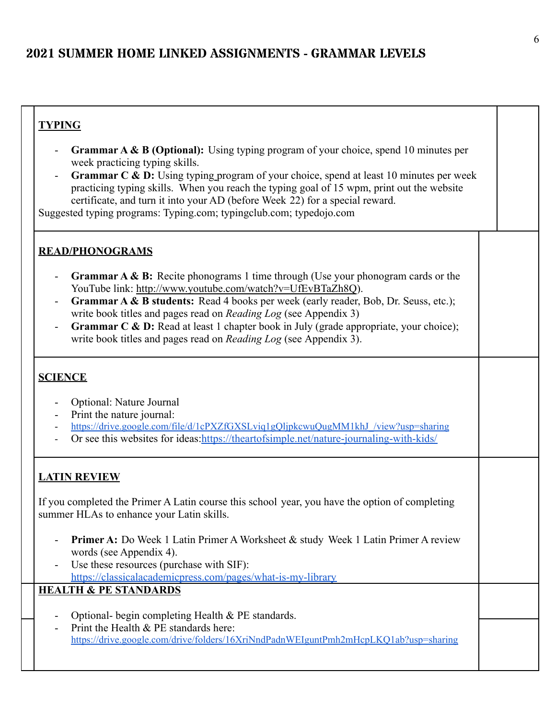### **TYPING**

- **Grammar A & B (Optional):** Using typing program of your choice, spend 10 minutes per week practicing typing skills.
- **Grammar C & D:** Using typing program of your choice, spend at least 10 minutes per week practicing typing skills. When you reach the typing goal of 15 wpm, print out the website certificate, and turn it into your AD (before Week 22) for a special reward.

Suggested typing programs: Typing.com; typingclub.com; typedojo.com

#### **READ/PHONOGRAMS**

- **Grammar A & B:** Recite phonograms 1 time through (Use your phonogram cards or the YouTube link: <http://www.youtube.com/watch?v=UfEvBTaZh8Q>).
- **Grammar A & B students:** Read 4 books per week (early reader, Bob, Dr. Seuss, etc.); write book titles and pages read on *Reading Log* (see Appendix 3)
- **Grammar C & D:** Read at least 1 chapter book in July (grade appropriate, your choice); write book titles and pages read on *Reading Log* (see Appendix 3).

#### **SCIENCE**

- Optional: Nature Journal
- Print the nature journal:
- https://drive.google.com/file/d/1cPXZfGXSLviq1gOljpkcwuQugMM1khJ\_/view?usp=sharing
- Or see this websites for ideas:<https://theartofsimple.net/nature-journaling-with-kids/>

#### **LATIN REVIEW**

If you completed the Primer A Latin course this school year, you have the option of completing summer HLAs to enhance your Latin skills.

- **Primer A:** Do Week 1 Latin Primer A Worksheet & study Week 1 Latin Primer A review words (see Appendix 4).
- Use these resources (purchase with SIF): <https://classicalacademicpress.com/pages/what-is-my-library>

- Optional- begin completing Health & PE standards.
- Print the Health & PE standards here: <https://drive.google.com/drive/folders/16XriNndPadnWEIguntPmh2mHcpLKQ1ab?usp=sharing>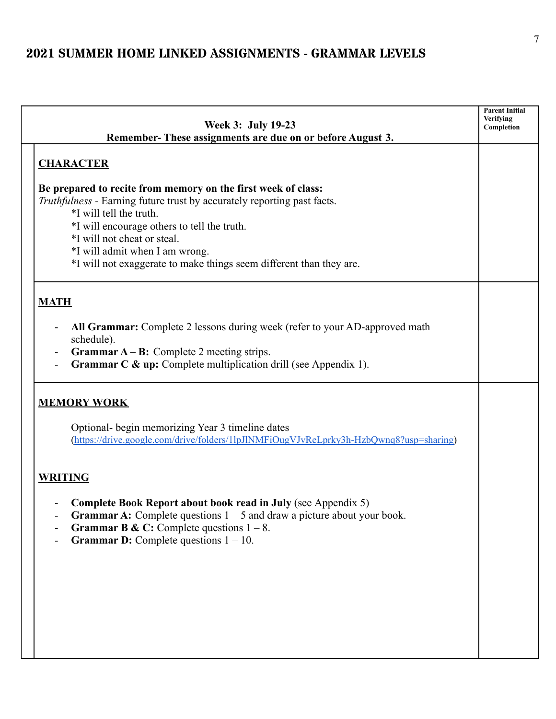| Week 3: July 19-23                                                                                                                                                                                                                                                                                                                                         | <b>Parent Initial</b><br>Verifying<br>Completion |
|------------------------------------------------------------------------------------------------------------------------------------------------------------------------------------------------------------------------------------------------------------------------------------------------------------------------------------------------------------|--------------------------------------------------|
| Remember-These assignments are due on or before August 3.                                                                                                                                                                                                                                                                                                  |                                                  |
| <b>CHARACTER</b>                                                                                                                                                                                                                                                                                                                                           |                                                  |
| Be prepared to recite from memory on the first week of class:<br>Truthfulness - Earning future trust by accurately reporting past facts.<br>*I will tell the truth.<br>*I will encourage others to tell the truth.<br>*I will not cheat or steal.<br>*I will admit when I am wrong.<br>*I will not exaggerate to make things seem different than they are. |                                                  |
| <b>MATH</b>                                                                                                                                                                                                                                                                                                                                                |                                                  |
| All Grammar: Complete 2 lessons during week (refer to your AD-approved math<br>schedule).<br><b>Grammar <math>A - B</math>:</b> Complete 2 meeting strips.<br>$\blacksquare$<br><b>Grammar C &amp; up:</b> Complete multiplication drill (see Appendix 1).                                                                                                 |                                                  |
| <b>MEMORY WORK</b><br>Optional- begin memorizing Year 3 timeline dates<br>(https://drive.google.com/drive/folders/1lpJlNMFiOugVJvReLprky3h-HzbQwnq8?usp=sharing)                                                                                                                                                                                           |                                                  |
| <b>WRITING</b><br>Complete Book Report about book read in July (see Appendix 5)<br><b>Grammar A:</b> Complete questions $1 - 5$ and draw a picture about your book.<br><b>Grammar B &amp; C:</b> Complete questions $1 - 8$ .<br><b>Grammar D:</b> Complete questions $1 - 10$ .                                                                           |                                                  |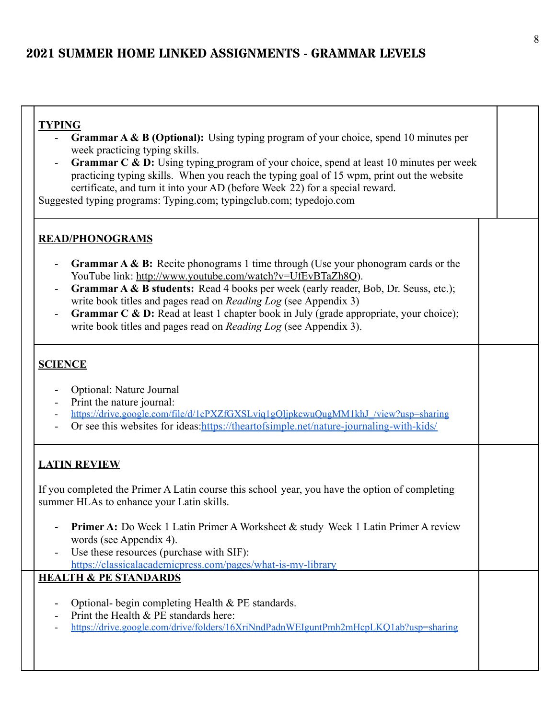|--|

- **Grammar A & B (Optional):** Using typing program of your choice, spend 10 minutes per week practicing typing skills.
- **Grammar C & D:** Using typing program of your choice, spend at least 10 minutes per week practicing typing skills. When you reach the typing goal of 15 wpm, print out the website certificate, and turn it into your AD (before Week 22) for a special reward.

Suggested typing programs: Typing.com; typingclub.com; typedojo.com

#### **READ/PHONOGRAMS**

- **Grammar A & B:** Recite phonograms 1 time through (Use your phonogram cards or the YouTube link: <http://www.youtube.com/watch?v=UfEvBTaZh8Q>).
- **Grammar A & B students:** Read 4 books per week (early reader, Bob, Dr. Seuss, etc.); write book titles and pages read on *Reading Log* (see Appendix 3)
- **Grammar C & D:** Read at least 1 chapter book in July (grade appropriate, your choice); write book titles and pages read on *Reading Log* (see Appendix 3).

#### **SCIENCE**

- Optional: Nature Journal
- Print the nature journal:
- https://drive.google.com/file/d/1cPXZfGXSLviq1gOljpkcwuQugMM1khJ\_/view?usp=sharing
- Or see this websites for ideas:<https://theartofsimple.net/nature-journaling-with-kids/>

#### **LATIN REVIEW**

If you completed the Primer A Latin course this school year, you have the option of completing summer HLAs to enhance your Latin skills.

- **Primer A:** Do Week 1 Latin Primer A Worksheet & study Week 1 Latin Primer A review words (see Appendix 4).
- Use these resources (purchase with SIF): <https://classicalacademicpress.com/pages/what-is-my-library>

- Optional- begin completing Health & PE standards.
- Print the Health & PE standards here:
- <https://drive.google.com/drive/folders/16XriNndPadnWEIguntPmh2mHcpLKQ1ab?usp=sharing>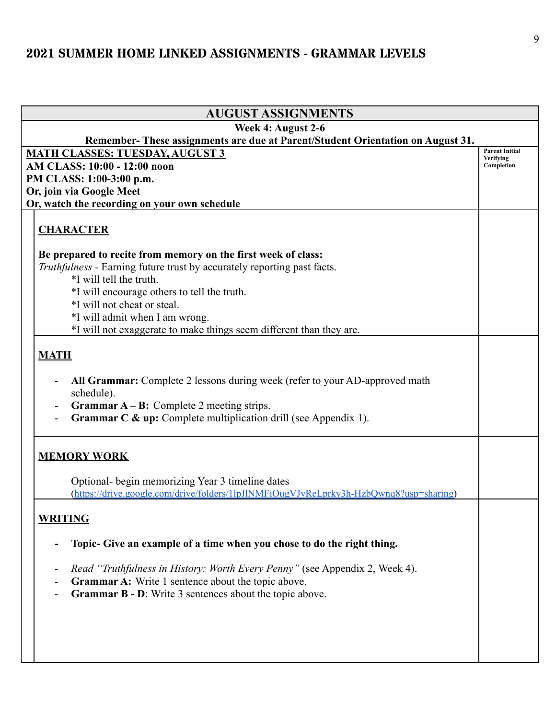| <b>AUGUST ASSIGNMENTS</b>                                                                                                                                                                                                   |                                    |
|-----------------------------------------------------------------------------------------------------------------------------------------------------------------------------------------------------------------------------|------------------------------------|
| Week 4: August 2-6                                                                                                                                                                                                          |                                    |
| Remember-These assignments are due at Parent/Student Orientation on August 31.                                                                                                                                              |                                    |
| <b>MATH CLASSES: TUESDAY, AUGUST 3</b>                                                                                                                                                                                      | <b>Parent Initial</b><br>Verifying |
| AM CLASS: 10:00 - 12:00 noon                                                                                                                                                                                                | Completion                         |
| PM CLASS: 1:00-3:00 p.m.                                                                                                                                                                                                    |                                    |
| Or, join via Google Meet                                                                                                                                                                                                    |                                    |
| Or, watch the recording on your own schedule                                                                                                                                                                                |                                    |
| <b>CHARACTER</b>                                                                                                                                                                                                            |                                    |
| Be prepared to recite from memory on the first week of class:                                                                                                                                                               |                                    |
| Truthfulness - Earning future trust by accurately reporting past facts.                                                                                                                                                     |                                    |
| *I will tell the truth.                                                                                                                                                                                                     |                                    |
| *I will encourage others to tell the truth.                                                                                                                                                                                 |                                    |
| *I will not cheat or steal.                                                                                                                                                                                                 |                                    |
| *I will admit when I am wrong.                                                                                                                                                                                              |                                    |
| *I will not exaggerate to make things seem different than they are.                                                                                                                                                         |                                    |
|                                                                                                                                                                                                                             |                                    |
| <b>MATH</b>                                                                                                                                                                                                                 |                                    |
| All Grammar: Complete 2 lessons during week (refer to your AD-approved math<br>schedule).<br><b>Grammar A – B:</b> Complete 2 meeting strips.<br><b>Grammar C &amp; up:</b> Complete multiplication drill (see Appendix 1). |                                    |
| <b>MEMORY WORK</b>                                                                                                                                                                                                          |                                    |
| Optional- begin memorizing Year 3 timeline dates<br>(https://drive.google.com/drive/folders/1lpJlNMFiOugVJvReLprky3h-HzbQwnq8?usp=sharing)                                                                                  |                                    |
| <b>WRITING</b>                                                                                                                                                                                                              |                                    |
| Topic- Give an example of a time when you chose to do the right thing.                                                                                                                                                      |                                    |
| Read "Truthfulness in History: Worth Every Penny" (see Appendix 2, Week 4).                                                                                                                                                 |                                    |
| Grammar A: Write 1 sentence about the topic above.                                                                                                                                                                          |                                    |
| <b>Grammar B - D</b> : Write 3 sentences about the topic above.                                                                                                                                                             |                                    |
|                                                                                                                                                                                                                             |                                    |
|                                                                                                                                                                                                                             |                                    |
|                                                                                                                                                                                                                             |                                    |
|                                                                                                                                                                                                                             |                                    |
|                                                                                                                                                                                                                             |                                    |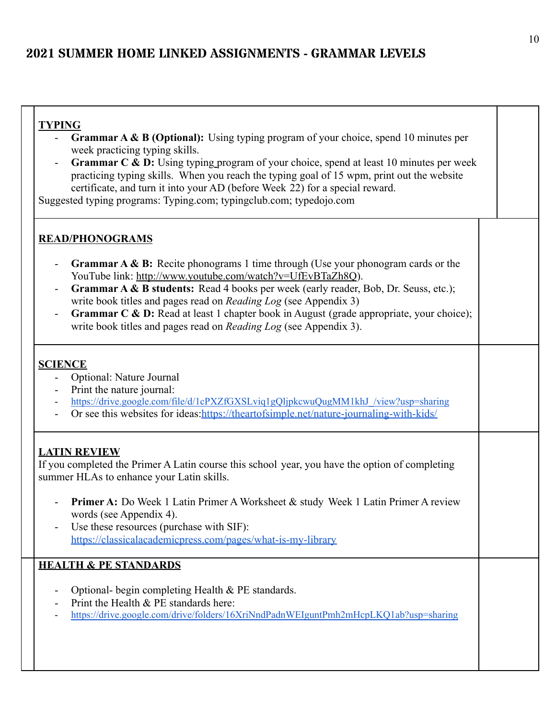| ╲<br>г. |
|---------|
|---------|

- **Grammar A & B (Optional):** Using typing program of your choice, spend 10 minutes per week practicing typing skills.
- **Grammar C & D:** Using typing program of your choice, spend at least 10 minutes per week practicing typing skills. When you reach the typing goal of 15 wpm, print out the website certificate, and turn it into your AD (before Week 22) for a special reward.

Suggested typing programs: Typing.com; typingclub.com; typedojo.com

#### **READ/PHONOGRAMS**

- **Grammar A & B:** Recite phonograms 1 time through (Use your phonogram cards or the YouTube link: <http://www.youtube.com/watch?v=UfEvBTaZh8Q>).
- **Grammar A & B students:** Read 4 books per week (early reader, Bob, Dr. Seuss, etc.); write book titles and pages read on *Reading Log* (see Appendix 3)
- **Grammar C & D:** Read at least 1 chapter book in August (grade appropriate, your choice); write book titles and pages read on *Reading Log* (see Appendix 3).

#### **SCIENCE**

- Optional: Nature Journal
- Print the nature journal:
- [https://drive.google.com/file/d/1cPXZfGXSLviq1gQljpkcwuQugMM1khJ\\_/view?usp=sharing](https://drive.google.com/file/d/1cPXZfGXSLviq1gQljpkcwuQugMM1khJ_/view?usp=sharing)
- Or see this websites for ideas: <https://theartofsimple.net/nature-journaling-with-kids/>

#### **LATIN REVIEW**

If you completed the Primer A Latin course this school year, you have the option of completing summer HLAs to enhance your Latin skills.

- Primer A: Do Week 1 Latin Primer A Worksheet & study Week 1 Latin Primer A review words (see Appendix 4).
- Use these resources (purchase with SIF): <https://classicalacademicpress.com/pages/what-is-my-library>

- Optional- begin completing Health & PE standards.
- Print the Health  $&$  PE standards here:
- <https://drive.google.com/drive/folders/16XriNndPadnWEIguntPmh2mHcpLKQ1ab?usp=sharing>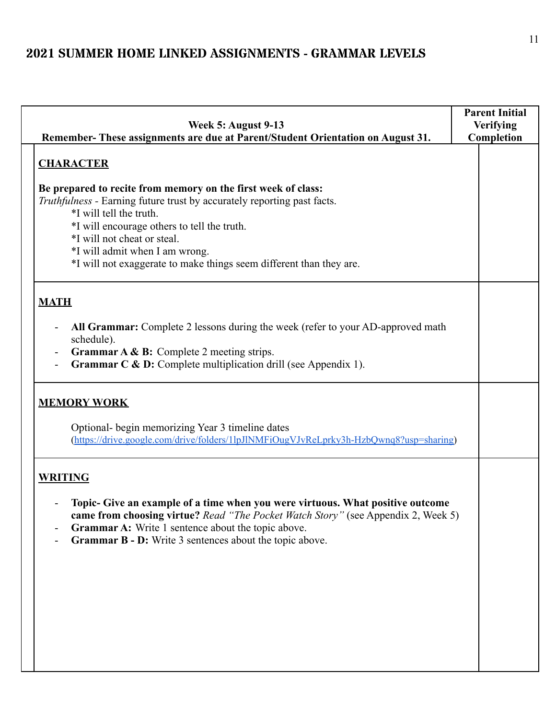| Week 5: August 9-13<br>Remember-These assignments are due at Parent/Student Orientation on August 31.                                                                                                                                                                                                                                                      | <b>Parent Initial</b><br><b>Verifying</b><br>Completion |
|------------------------------------------------------------------------------------------------------------------------------------------------------------------------------------------------------------------------------------------------------------------------------------------------------------------------------------------------------------|---------------------------------------------------------|
| <b>CHARACTER</b>                                                                                                                                                                                                                                                                                                                                           |                                                         |
| Be prepared to recite from memory on the first week of class:<br>Truthfulness - Earning future trust by accurately reporting past facts.<br>*I will tell the truth.<br>*I will encourage others to tell the truth.<br>*I will not cheat or steal.<br>*I will admit when I am wrong.<br>*I will not exaggerate to make things seem different than they are. |                                                         |
| <b>MATH</b>                                                                                                                                                                                                                                                                                                                                                |                                                         |
| All Grammar: Complete 2 lessons during the week (refer to your AD-approved math<br>schedule).<br>Grammar A & B: Complete 2 meeting strips.<br>$\overline{\phantom{a}}$<br>Grammar C & D: Complete multiplication drill (see Appendix 1).                                                                                                                   |                                                         |
| <b>MEMORY WORK</b>                                                                                                                                                                                                                                                                                                                                         |                                                         |
| Optional- begin memorizing Year 3 timeline dates<br>(https://drive.google.com/drive/folders/1lpJlNMFiOugVJvReLprky3h-HzbQwnq8?usp=sharing)                                                                                                                                                                                                                 |                                                         |
| <b>WRITING</b><br>Topic- Give an example of a time when you were virtuous. What positive outcome<br>came from choosing virtue? Read "The Pocket Watch Story" (see Appendix 2, Week 5)<br><b>Grammar A:</b> Write 1 sentence about the topic above.<br><b>Grammar B - D:</b> Write 3 sentences about the topic above.                                       |                                                         |
|                                                                                                                                                                                                                                                                                                                                                            |                                                         |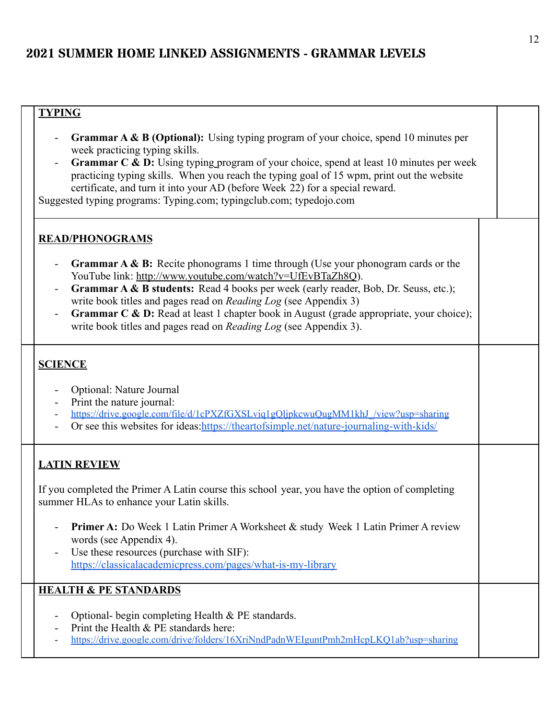### **TYPING**

- **Grammar A & B (Optional):** Using typing program of your choice, spend 10 minutes per week practicing typing skills.
- **Grammar C & D:** Using typing program of your choice, spend at least 10 minutes per week practicing typing skills. When you reach the typing goal of 15 wpm, print out the website certificate, and turn it into your AD (before Week 22) for a special reward.

Suggested typing programs: Typing.com; typingclub.com; typedojo.com

#### **READ/PHONOGRAMS**

- **Grammar A & B:** Recite phonograms 1 time through (Use your phonogram cards or the YouTube link: <http://www.youtube.com/watch?v=UfEvBTaZh8Q>).
- **Grammar A & B students:** Read 4 books per week (early reader, Bob, Dr. Seuss, etc.); write book titles and pages read on *Reading Log* (see Appendix 3)
- **Grammar C & D:** Read at least 1 chapter book in August (grade appropriate, your choice); write book titles and pages read on *Reading Log* (see Appendix 3).

#### **SCIENCE**

- Optional: Nature Journal
- Print the nature journal:
- https://drive.google.com/file/d/1cPXZfGXSLviq1gOljpkcwuQugMM1khJ\_/view?usp=sharing
- Or see this websites for ideas:<https://theartofsimple.net/nature-journaling-with-kids/>

#### **LATIN REVIEW**

If you completed the Primer A Latin course this school year, you have the option of completing summer HLAs to enhance your Latin skills.

- **Primer A:** Do Week 1 Latin Primer A Worksheet & study Week 1 Latin Primer A review words (see Appendix 4).
- Use these resources (purchase with SIF): <https://classicalacademicpress.com/pages/what-is-my-library>

- Optional- begin completing Health  $&$  PE standards.
- Print the Health  $&$  PE standards here:
- <https://drive.google.com/drive/folders/16XriNndPadnWEIguntPmh2mHcpLKQ1ab?usp=sharing>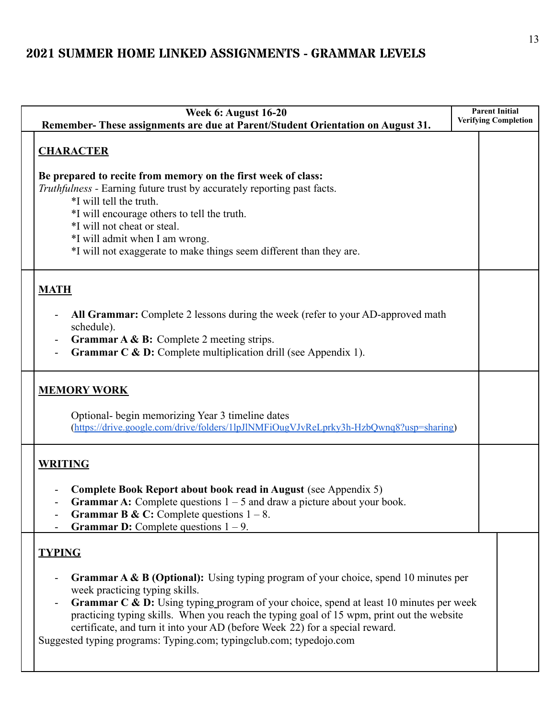| <b>Week 6: August 16-20</b><br>Remember-These assignments are due at Parent/Student Orientation on August 31.                                                                                                                                                                                                                                                                                                                                                                                   | <b>Parent Initial</b><br><b>Verifying Completion</b> |
|-------------------------------------------------------------------------------------------------------------------------------------------------------------------------------------------------------------------------------------------------------------------------------------------------------------------------------------------------------------------------------------------------------------------------------------------------------------------------------------------------|------------------------------------------------------|
| <b>CHARACTER</b><br>Be prepared to recite from memory on the first week of class:<br>Truthfulness - Earning future trust by accurately reporting past facts.<br>*I will tell the truth.<br>*I will encourage others to tell the truth.<br>*I will not cheat or steal.<br>*I will admit when I am wrong.<br>*I will not exaggerate to make things seem different than they are.                                                                                                                  |                                                      |
| <b>MATH</b><br>All Grammar: Complete 2 lessons during the week (refer to your AD-approved math<br>schedule).<br><b>Grammar A &amp; B:</b> Complete 2 meeting strips.<br><b>Grammar C &amp; D:</b> Complete multiplication drill (see Appendix 1).                                                                                                                                                                                                                                               |                                                      |
| <b>MEMORY WORK</b><br>Optional- begin memorizing Year 3 timeline dates<br>(https://drive.google.com/drive/folders/1lpJlNMFiOugVJvReLprky3h-HzbQwnq8?usp=sharing)                                                                                                                                                                                                                                                                                                                                |                                                      |
| <b>WRITING</b><br>Complete Book Report about book read in August (see Appendix 5)<br><b>Grammar A:</b> Complete questions $1 - 5$ and draw a picture about your book.<br><b>Grammar B &amp; C:</b> Complete questions $1 - 8$ .<br><b>Grammar D:</b> Complete questions $1 - 9$ .                                                                                                                                                                                                               |                                                      |
| <b>TYPING</b><br><b>Grammar A &amp; B (Optional):</b> Using typing program of your choice, spend 10 minutes per<br>week practicing typing skills.<br>Grammar C & D: Using typing program of your choice, spend at least 10 minutes per week<br>practicing typing skills. When you reach the typing goal of 15 wpm, print out the website<br>certificate, and turn it into your AD (before Week 22) for a special reward.<br>Suggested typing programs: Typing.com; typingclub.com; typedojo.com |                                                      |